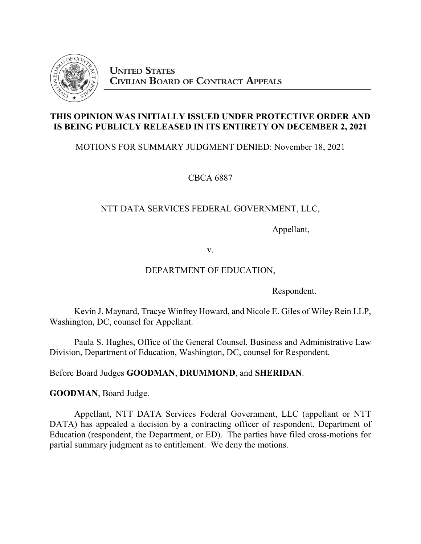

### **THIS OPINION WAS INITIALLY ISSUED UNDER PROTECTIVE ORDER AND IS BEING PUBLICLY RELEASED IN ITS ENTIRETY ON DECEMBER 2, 2021**

# MOTIONS FOR SUMMARY JUDGMENT DENIED: November 18, 2021

CBCA 6887

# NTT DATA SERVICES FEDERAL GOVERNMENT, LLC,

Appellant,

v.

### DEPARTMENT OF EDUCATION,

Respondent.

Kevin J. Maynard, Tracye Winfrey Howard, and Nicole E. Giles of Wiley Rein LLP, Washington, DC, counsel for Appellant.

Paula S. Hughes, Office of the General Counsel, Business and Administrative Law Division, Department of Education, Washington, DC, counsel for Respondent.

Before Board Judges **GOODMAN**, **DRUMMOND**, and **SHERIDAN**.

**GOODMAN**, Board Judge.

Appellant, NTT DATA Services Federal Government, LLC (appellant or NTT DATA) has appealed a decision by a contracting officer of respondent, Department of Education (respondent, the Department, or ED). The parties have filed cross-motions for partial summary judgment as to entitlement. We deny the motions.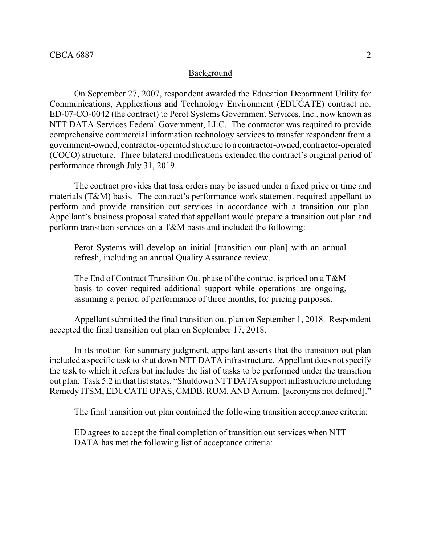### Background

On September 27, 2007, respondent awarded the Education Department Utility for Communications, Applications and Technology Environment (EDUCATE) contract no. ED-07-CO-0042 (the contract) to Perot Systems Government Services, Inc., now known as NTT DATA Services Federal Government, LLC. The contractor was required to provide comprehensive commercial information technology services to transfer respondent from a government-owned, contractor-operated structure to a contractor-owned, contractor-operated (COCO) structure. Three bilateral modifications extended the contract's original period of performance through July 31, 2019.

The contract provides that task orders may be issued under a fixed price or time and materials (T&M) basis. The contract's performance work statement required appellant to perform and provide transition out services in accordance with a transition out plan. Appellant's business proposal stated that appellant would prepare a transition out plan and perform transition services on a T&M basis and included the following:

Perot Systems will develop an initial [transition out plan] with an annual refresh, including an annual Quality Assurance review.

The End of Contract Transition Out phase of the contract is priced on a T&M basis to cover required additional support while operations are ongoing, assuming a period of performance of three months, for pricing purposes.

Appellant submitted the final transition out plan on September 1, 2018. Respondent accepted the final transition out plan on September 17, 2018.

In its motion for summary judgment, appellant asserts that the transition out plan included a specific task to shut down NTT DATA infrastructure. Appellant does not specify the task to which it refers but includes the list of tasks to be performed under the transition out plan. Task 5.2 in that list states, "Shutdown NTT DATA support infrastructure including Remedy ITSM, EDUCATE OPAS, CMDB, RUM, AND Atrium. [acronyms not defined]."

The final transition out plan contained the following transition acceptance criteria:

ED agrees to accept the final completion of transition out services when NTT DATA has met the following list of acceptance criteria: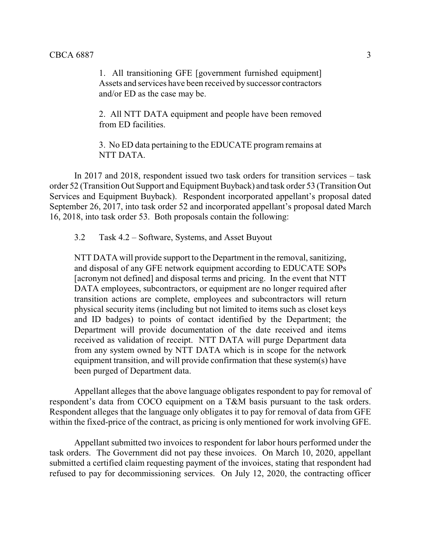1. All transitioning GFE [government furnished equipment] Assets and services have been received by successor contractors and/or ED as the case may be.

2. All NTT DATA equipment and people have been removed from ED facilities.

3. No ED data pertaining to the EDUCATE program remains at NTT DATA.

In 2017 and 2018, respondent issued two task orders for transition services – task order 52 (Transition Out Support and Equipment Buyback) and task order 53 (Transition Out Services and Equipment Buyback). Respondent incorporated appellant's proposal dated September 26, 2017, into task order 52 and incorporated appellant's proposal dated March 16, 2018, into task order 53. Both proposals contain the following:

3.2 Task 4.2 – Software, Systems, and Asset Buyout

NTT DATA will provide support to the Department in the removal, sanitizing, and disposal of any GFE network equipment according to EDUCATE SOPs [acronym not defined] and disposal terms and pricing. In the event that NTT DATA employees, subcontractors, or equipment are no longer required after transition actions are complete, employees and subcontractors will return physical security items (including but not limited to items such as closet keys and ID badges) to points of contact identified by the Department; the Department will provide documentation of the date received and items received as validation of receipt. NTT DATA will purge Department data from any system owned by NTT DATA which is in scope for the network equipment transition, and will provide confirmation that these system(s) have been purged of Department data.

Appellant alleges that the above language obligates respondent to pay for removal of respondent's data from COCO equipment on a T&M basis pursuant to the task orders. Respondent alleges that the language only obligates it to pay for removal of data from GFE within the fixed-price of the contract, as pricing is only mentioned for work involving GFE.

Appellant submitted two invoices to respondent for labor hours performed under the task orders. The Government did not pay these invoices. On March 10, 2020, appellant submitted a certified claim requesting payment of the invoices, stating that respondent had refused to pay for decommissioning services. On July 12, 2020, the contracting officer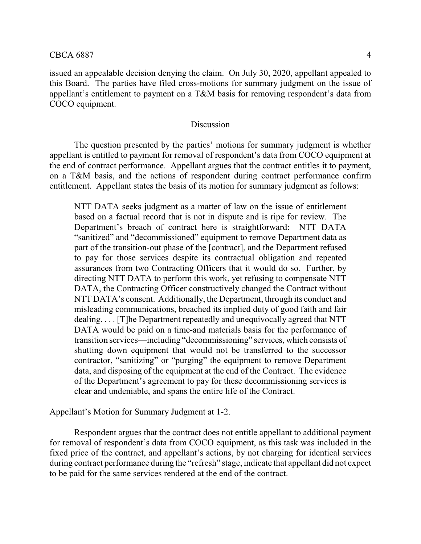issued an appealable decision denying the claim. On July 30, 2020, appellant appealed to this Board. The parties have filed cross-motions for summary judgment on the issue of appellant's entitlement to payment on a T&M basis for removing respondent's data from COCO equipment.

### Discussion

The question presented by the parties' motions for summary judgment is whether appellant is entitled to payment for removal of respondent's data from COCO equipment at the end of contract performance. Appellant argues that the contract entitles it to payment, on a T&M basis, and the actions of respondent during contract performance confirm entitlement. Appellant states the basis of its motion for summary judgment as follows:

NTT DATA seeks judgment as a matter of law on the issue of entitlement based on a factual record that is not in dispute and is ripe for review. The Department's breach of contract here is straightforward: NTT DATA "sanitized" and "decommissioned" equipment to remove Department data as part of the transition-out phase of the [contract], and the Department refused to pay for those services despite its contractual obligation and repeated assurances from two Contracting Officers that it would do so. Further, by directing NTT DATA to perform this work, yet refusing to compensate NTT DATA, the Contracting Officer constructively changed the Contract without NTT DATA's consent. Additionally, the Department, through its conduct and misleading communications, breached its implied duty of good faith and fair dealing. . . . [T]he Department repeatedly and unequivocally agreed that NTT DATA would be paid on a time-and materials basis for the performance of transition services—including "decommissioning" services, which consists of shutting down equipment that would not be transferred to the successor contractor, "sanitizing" or "purging" the equipment to remove Department data, and disposing of the equipment at the end of the Contract. The evidence of the Department's agreement to pay for these decommissioning services is clear and undeniable, and spans the entire life of the Contract.

Appellant's Motion for Summary Judgment at 1-2.

Respondent argues that the contract does not entitle appellant to additional payment for removal of respondent's data from COCO equipment, as this task was included in the fixed price of the contract, and appellant's actions, by not charging for identical services during contract performance during the "refresh" stage, indicate that appellant did not expect to be paid for the same services rendered at the end of the contract.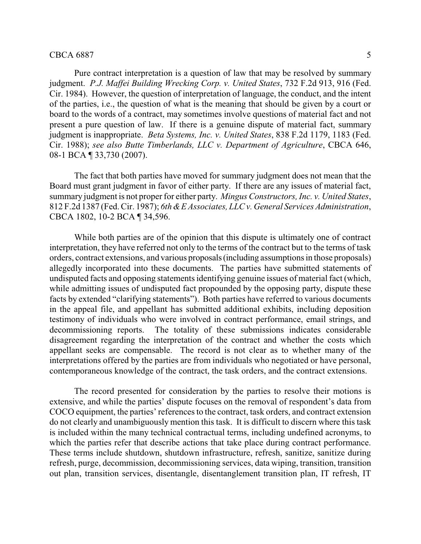#### $CBCA 6887$  5

Pure contract interpretation is a question of law that may be resolved by summary judgment. *P.J. Maffei Building Wrecking Corp. v. United States*, 732 F.2d 913, 916 (Fed. Cir. 1984). However, the question of interpretation of language, the conduct, and the intent of the parties, i.e., the question of what is the meaning that should be given by a court or board to the words of a contract, may sometimes involve questions of material fact and not present a pure question of law. If there is a genuine dispute of material fact, summary judgment is inappropriate. *Beta Systems, Inc. v. United States*, 838 F.2d 1179, 1183 (Fed. Cir. 1988); *see also Butte Timberlands, LLC v. Department of Agriculture*, CBCA 646, 08-1 BCA ¶ 33,730 (2007).

The fact that both parties have moved for summary judgment does not mean that the Board must grant judgment in favor of either party. If there are any issues of material fact, summary judgment is not proper for either party. *Mingus Constructors, Inc. v. United States*, 812 F.2d 1387 (Fed. Cir. 1987); *6th &E Associates, LLC v. General Services Administration*, CBCA 1802, 10-2 BCA ¶ 34,596.

While both parties are of the opinion that this dispute is ultimately one of contract interpretation, they have referred not only to the terms of the contract but to the terms of task orders, contract extensions, and various proposals(including assumptions in those proposals) allegedly incorporated into these documents. The parties have submitted statements of undisputed facts and opposing statements identifying genuine issues of material fact (which, while admitting issues of undisputed fact propounded by the opposing party, dispute these facts by extended "clarifying statements"). Both parties have referred to various documents in the appeal file, and appellant has submitted additional exhibits, including deposition testimony of individuals who were involved in contract performance, email strings, and decommissioning reports. The totality of these submissions indicates considerable disagreement regarding the interpretation of the contract and whether the costs which appellant seeks are compensable. The record is not clear as to whether many of the interpretations offered by the parties are from individuals who negotiated or have personal, contemporaneous knowledge of the contract, the task orders, and the contract extensions.

The record presented for consideration by the parties to resolve their motions is extensive, and while the parties' dispute focuses on the removal of respondent's data from COCO equipment, the parties' references to the contract, task orders, and contract extension do not clearly and unambiguously mention this task. It is difficult to discern where this task is included within the many technical contractual terms, including undefined acronyms, to which the parties refer that describe actions that take place during contract performance. These terms include shutdown, shutdown infrastructure, refresh, sanitize, sanitize during refresh, purge, decommission, decommissioning services, data wiping, transition, transition out plan, transition services, disentangle, disentanglement transition plan, IT refresh, IT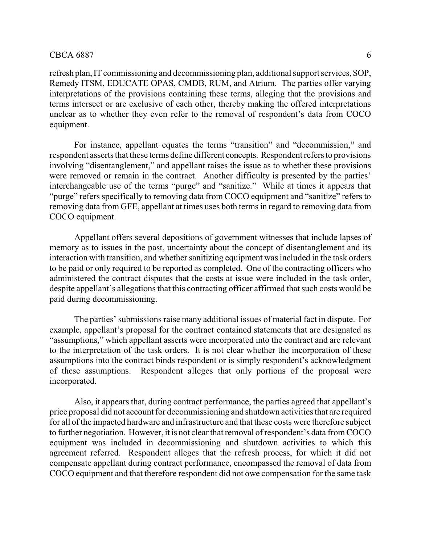#### $CBCA 6887$  6

refresh plan, IT commissioning and decommissioning plan, additional support services, SOP, Remedy ITSM, EDUCATE OPAS, CMDB, RUM, and Atrium. The parties offer varying interpretations of the provisions containing these terms, alleging that the provisions and terms intersect or are exclusive of each other, thereby making the offered interpretations unclear as to whether they even refer to the removal of respondent's data from COCO equipment.

For instance, appellant equates the terms "transition" and "decommission," and respondent asserts that these terms define different concepts. Respondent refers to provisions involving "disentanglement," and appellant raises the issue as to whether these provisions were removed or remain in the contract. Another difficulty is presented by the parties' interchangeable use of the terms "purge" and "sanitize." While at times it appears that "purge" refers specifically to removing data from COCO equipment and "sanitize" refers to removing data from GFE, appellant at times uses both terms in regard to removing data from COCO equipment.

Appellant offers several depositions of government witnesses that include lapses of memory as to issues in the past, uncertainty about the concept of disentanglement and its interaction with transition, and whether sanitizing equipment was included in the task orders to be paid or only required to be reported as completed. One of the contracting officers who administered the contract disputes that the costs at issue were included in the task order, despite appellant's allegations that this contracting officer affirmed that such costs would be paid during decommissioning.

The parties' submissions raise many additional issues of material fact in dispute. For example, appellant's proposal for the contract contained statements that are designated as "assumptions," which appellant asserts were incorporated into the contract and are relevant to the interpretation of the task orders. It is not clear whether the incorporation of these assumptions into the contract binds respondent or is simply respondent's acknowledgment of these assumptions. Respondent alleges that only portions of the proposal were incorporated.

Also, it appears that, during contract performance, the parties agreed that appellant's price proposal did not account for decommissioning and shutdown activities that are required for all of the impacted hardware and infrastructure and that these costs were therefore subject to further negotiation. However, it is not clear that removal of respondent's data from COCO equipment was included in decommissioning and shutdown activities to which this agreement referred. Respondent alleges that the refresh process, for which it did not compensate appellant during contract performance, encompassed the removal of data from COCO equipment and that therefore respondent did not owe compensation for the same task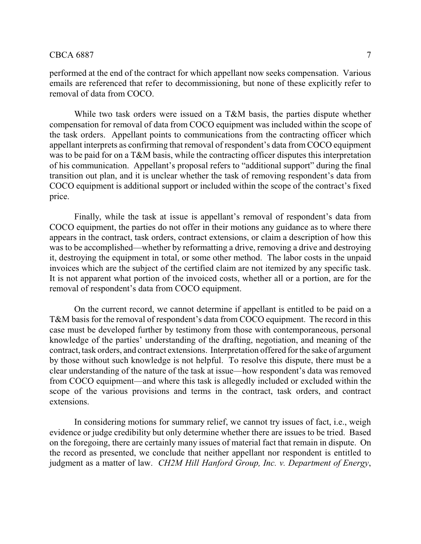performed at the end of the contract for which appellant now seeks compensation. Various emails are referenced that refer to decommissioning, but none of these explicitly refer to removal of data from COCO.

While two task orders were issued on a T&M basis, the parties dispute whether compensation for removal of data from COCO equipment was included within the scope of the task orders. Appellant points to communications from the contracting officer which appellant interprets as confirming that removal of respondent's data from COCO equipment was to be paid for on a T&M basis, while the contracting officer disputes this interpretation of his communication. Appellant's proposal refers to "additional support" during the final transition out plan, and it is unclear whether the task of removing respondent's data from COCO equipment is additional support or included within the scope of the contract's fixed price.

Finally, while the task at issue is appellant's removal of respondent's data from COCO equipment, the parties do not offer in their motions any guidance as to where there appears in the contract, task orders, contract extensions, or claim a description of how this was to be accomplished—whether by reformatting a drive, removing a drive and destroying it, destroying the equipment in total, or some other method. The labor costs in the unpaid invoices which are the subject of the certified claim are not itemized by any specific task. It is not apparent what portion of the invoiced costs, whether all or a portion, are for the removal of respondent's data from COCO equipment.

On the current record, we cannot determine if appellant is entitled to be paid on a T&M basis for the removal of respondent's data from COCO equipment. The record in this case must be developed further by testimony from those with contemporaneous, personal knowledge of the parties' understanding of the drafting, negotiation, and meaning of the contract, task orders, and contract extensions. Interpretation offered for the sake of argument by those without such knowledge is not helpful. To resolve this dispute, there must be a clear understanding of the nature of the task at issue—how respondent's data was removed from COCO equipment—and where this task is allegedly included or excluded within the scope of the various provisions and terms in the contract, task orders, and contract extensions.

In considering motions for summary relief, we cannot try issues of fact, i.e., weigh evidence or judge credibility but only determine whether there are issues to be tried. Based on the foregoing, there are certainly many issues of material fact that remain in dispute. On the record as presented, we conclude that neither appellant nor respondent is entitled to judgment as a matter of law. *CH2M Hill Hanford Group, Inc. v. Department of Energy*,